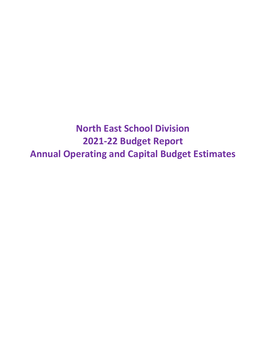**North East School Division 2021-22 Budget Report Annual Operating and Capital Budget Estimates**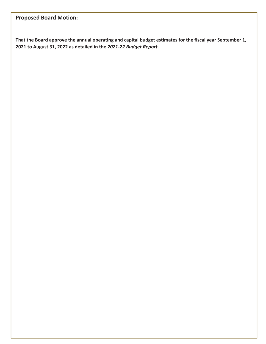# **Proposed Board Motion:**

**That the Board approve the annual operating and capital budget estimates for the fiscal year September 1, 2021 to August 31, 2022 as detailed in the** *2021-22 Budget Report***.**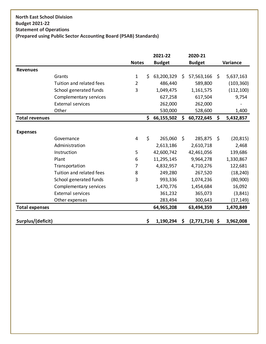### **North East School Division Budget 2021-22 Statement of Operations (Prepared using Public Sector Accounting Board (PSAB) Standards)**

|                       |                               |                |    | 2021-22       | 2020-21                |     |            |
|-----------------------|-------------------------------|----------------|----|---------------|------------------------|-----|------------|
|                       |                               | <b>Notes</b>   |    | <b>Budget</b> | <b>Budget</b>          |     | Variance   |
| <b>Revenues</b>       |                               |                |    |               |                        |     |            |
|                       | Grants                        | $\mathbf{1}$   | Ś. | 63,200,329    | \$<br>57,563,166       | \$  | 5,637,163  |
|                       | Tuition and related fees      | $\overline{2}$ |    | 486,440       | 589,800                |     | (103, 360) |
|                       | School generated funds        | 3              |    | 1,049,475     | 1,161,575              |     | (112, 100) |
|                       | Complementary services        |                |    | 627,258       | 617,504                |     | 9,754      |
|                       | <b>External services</b>      |                |    | 262,000       | 262,000                |     |            |
|                       | Other                         |                |    | 530,000       | 528,600                |     | 1,400      |
| <b>Total revenues</b> |                               |                | \$ | 66,155,502    | \$<br>60,722,645       | \$  | 5,432,857  |
|                       |                               |                |    |               |                        |     |            |
| <b>Expenses</b>       |                               |                |    |               |                        |     |            |
|                       | Governance                    | 4              | \$ | 265,060       | \$<br>285,875          | -\$ | (20, 815)  |
|                       | Administration                |                |    | 2,613,186     | 2,610,718              |     | 2,468      |
|                       | Instruction                   | 5              |    | 42,600,742    | 42,461,056             |     | 139,686    |
|                       | Plant                         | 6              |    | 11,295,145    | 9,964,278              |     | 1,330,867  |
|                       | Transportation                | 7              |    | 4,832,957     | 4,710,276              |     | 122,681    |
|                       | Tuition and related fees      | 8              |    | 249,280       | 267,520                |     | (18, 240)  |
|                       | School generated funds        | 3              |    | 993,336       | 1,074,236              |     | (80, 900)  |
|                       | <b>Complementary services</b> |                |    | 1,470,776     | 1,454,684              |     | 16,092     |
|                       | <b>External services</b>      |                |    | 361,232       | 365,073                |     | (3,841)    |
|                       | Other expenses                |                |    | 283,494       | 300,643                |     | (17,149)   |
| <b>Total expenses</b> |                               |                |    | 64,965,208    | 63,494,359             |     | 1,470,849  |
|                       |                               |                |    |               |                        |     |            |
| Surplus/(deficit)     |                               |                | \$ | 1,190,294     | \$<br>$(2,771,714)$ \$ |     | 3,962,008  |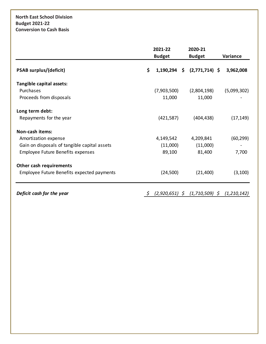## **North East School Division Budget 2021-22 Conversion to Cash Basis**

|                                              | 2021-22              |  | 2020-21          |  |             |  |
|----------------------------------------------|----------------------|--|------------------|--|-------------|--|
|                                              | <b>Budget</b>        |  | <b>Budget</b>    |  | Variance    |  |
| <b>PSAB surplus/(deficit)</b>                | \$<br>$1,190,294$ \$ |  | $(2,771,714)$ \$ |  | 3,962,008   |  |
| Tangible capital assets:                     |                      |  |                  |  |             |  |
| Purchases                                    | (7,903,500)          |  | (2,804,198)      |  | (5,099,302) |  |
| Proceeds from disposals                      | 11,000               |  | 11,000           |  |             |  |
| Long term debt:                              |                      |  |                  |  |             |  |
| Repayments for the year                      | (421,587)            |  | (404, 438)       |  | (17, 149)   |  |
| Non-cash items:                              |                      |  |                  |  |             |  |
| Amortization expense                         | 4,149,542            |  | 4,209,841        |  | (60, 299)   |  |
| Gain on disposals of tangible capital assets | (11,000)             |  | (11,000)         |  |             |  |
| <b>Employee Future Benefits expenses</b>     | 89,100               |  | 81,400           |  | 7,700       |  |
| Other cash requirements                      |                      |  |                  |  |             |  |
| Employee Future Benefits expected payments   | (24, 500)            |  | (21, 400)        |  | (3, 100)    |  |
|                                              |                      |  |                  |  |             |  |

*Deficit cash for the year \$ (2,920,651) \$ (1,710,509) \$ (1,210,142)*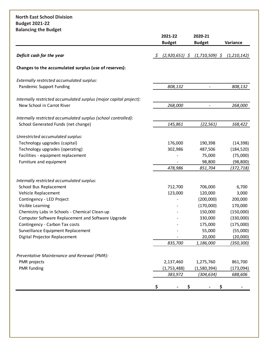### **North East School Division Budget 2021-22 Balancing the Budget**

|                                                                    | 2021-22<br><b>Budget</b>           | 2020-21<br><b>Budget</b> | Variance      |
|--------------------------------------------------------------------|------------------------------------|--------------------------|---------------|
| Deficit cash for the year                                          | $\mathfrak{S}$<br>$(2,920,651)$ \$ | $(1,710,509)$ \$         | (1, 210, 142) |
| Changes to the accumulated surplus (use of reserves):              |                                    |                          |               |
| Externally restricted accumulated surplus:                         |                                    |                          |               |
| Pandemic Support Funding                                           | 808,132                            |                          | 808,132       |
| Internally restricted accumulated surplus (major capital project): |                                    |                          |               |
| New School in Carrot River                                         | 268,000                            | $\overline{\phantom{m}}$ | 268,000       |
| Internally restricted accumulated surplus (school controlled):     |                                    |                          |               |
| School Generated Funds (net change)                                | 145,861                            | (22, 561)                | 168,422       |
| Unrestricted accumulated surplus:                                  |                                    |                          |               |
| Technology upgrades (capital)                                      | 176,000                            | 190,398                  | (14, 398)     |
| Technology upgrades (operating)                                    | 302,986                            | 487,506                  | (184, 520)    |
| Facilities - equipment replacement                                 |                                    | 75,000                   | (75,000)      |
| Furniture and equipment                                            |                                    | 98,800                   | (98, 800)     |
|                                                                    | 478,986                            | 851,704                  | (372,718)     |
| Internally restricted accumulated surplus:                         |                                    |                          |               |
| School Bus Replacement                                             | 712,700                            | 706,000                  | 6,700         |
| Vehicle Replacement                                                | 123,000                            | 120,000                  | 3,000         |
| Contingency - LED Project                                          |                                    | (200,000)                | 200,000       |
| Visible Learning                                                   |                                    | (170,000)                | 170,000       |
| Chemistry Labs in Schools - Chemical Clean-up                      |                                    | 150,000                  | (150,000)     |
| Computer Software Replacement and Software Upgrade                 |                                    | 330,000                  | (330,000)     |
| Contingency - Carbon Tax costs                                     |                                    | 175,000                  | (175,000)     |
| Surveillance Equipment Replacement                                 |                                    | 55,000                   | (55,000)      |
| Digital Projector Replacement                                      |                                    | 20,000                   | (20,000)      |
|                                                                    | 835,700                            | 1,186,000                | (350,300)     |
| Preventative Maintenance and Renewal (PMR):                        |                                    |                          |               |
| PMR projects                                                       | 2,137,460                          | 1,275,760                | 861,700       |
| PMR funding                                                        | (1,753,488)                        | (1,580,394)              | (173,094)     |
|                                                                    | 383,972                            | (304, 634)               | 688,606       |
|                                                                    | \$<br>\$                           | \$                       |               |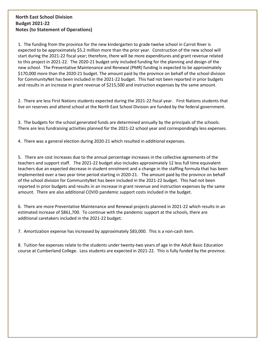#### **North East School Division Budget 2021-22 Notes (to Statement of Operations)**

1. The funding from the province for the new kindergarten to grade twelve school in Carrot River is expected to be approximately \$5.2 million more than the prior year. Construction of the new school will start during the 2021-22 fiscal year; therefore, there will be more expenditures and grant revenue related to this project in 2021-22. The 2020-21 budget only included funding for the planning and design of the new school. The Preventative Maintenance and Renewal (PMR) funding is expected to be approximately \$170,000 more than the 2020-21 budget. The amount paid by the province on behalf of the school division for CommunityNet has been included in the 2021-22 budget. This had not been reported in prior budgets and results in an increase in grant revenue of \$215,500 and instruction expenses by the same amount.

2. There are less First Nations students expected during the 2021-22 fiscal year. First Nations students that live on reserves and attend school at the North East School Division are funded by the federal government.

3. The budgets for the school generated funds are determined annually by the principals of the schools. There are less fundraising activities planned for the 2021-22 school year and correspondingly less expenses.

4. There was a general election during 2020-21 which resulted in additional expenses.

5. There are cost increases due to the annual percentage increases in the collective agreements of the teachers and support staff. The 2021-22 budget also includes approximately 12 less full time equivalent teachers due an expected decrease in student enrolment and a change in the staffing formula that has been implemented over a two year time period starting in 2020-21. The amount paid by the province on behalf of the school division for CommunityNet has been included in the 2021-22 budget. This had not been reported in prior budgets and results in an increase in grant revenue and instruction expenses by the same amount. There are also additional COVID pandemic support costs included in the budget.

6. There are more Preventative Maintenance and Renewal projects planned in 2021-22 which results in an estimated increase of \$861,700. To continue with the pandemic support at the schools, there are additional caretakers included in the 2021-22 budget.

7. Amortization expense has increased by approximately \$83,000. This is a non-cash item.

8. Tuition fee expenses relate to the students under twenty-two years of age in the Adult Basic Education course at Cumberland College. Less students are expected in 2021-22. This is fully funded by the province.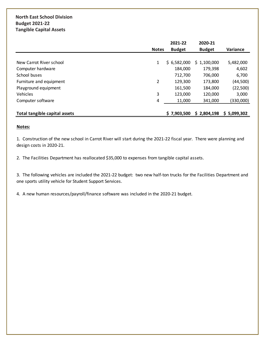## **North East School Division Budget 2021-22 Tangible Capital Assets**

|                               |              | 2021-22       | 2020-21       |                 |
|-------------------------------|--------------|---------------|---------------|-----------------|
|                               | <b>Notes</b> | <b>Budget</b> | <b>Budget</b> | <b>Variance</b> |
|                               |              |               |               |                 |
| New Carrot River school       | 1            | \$6,582,000   | \$1,100,000   | 5,482,000       |
| Computer hardware             |              | 184,000       | 179,398       | 4,602           |
| School buses                  |              | 712,700       | 706,000       | 6,700           |
| Furniture and equipment       | 2            | 129,300       | 173,800       | (44,500)        |
| Playground equipment          |              | 161,500       | 184,000       | (22,500)        |
| <b>Vehicles</b>               | 3            | 123,000       | 120,000       | 3,000           |
| Computer software             | 4            | 11,000        | 341,000       | (330,000)       |
|                               |              |               |               |                 |
| Total tangible capital assets |              | \$7,903,500   | \$2,804,198   | \$5,099,302     |

#### **Notes:**

1. Construction of the new school in Carrot River will start during the 2021-22 fiscal year. There were planning and design costs in 2020-21.

2. The Facilities Department has reallocated \$35,000 to expenses from tangible capital assets.

3. The following vehicles are included the 2021-22 budget: two new half-ton trucks for the Facilities Department and one sports utility vehicle for Student Support Services.

4. A new human resources/payroll/finance software was included in the 2020-21 budget.